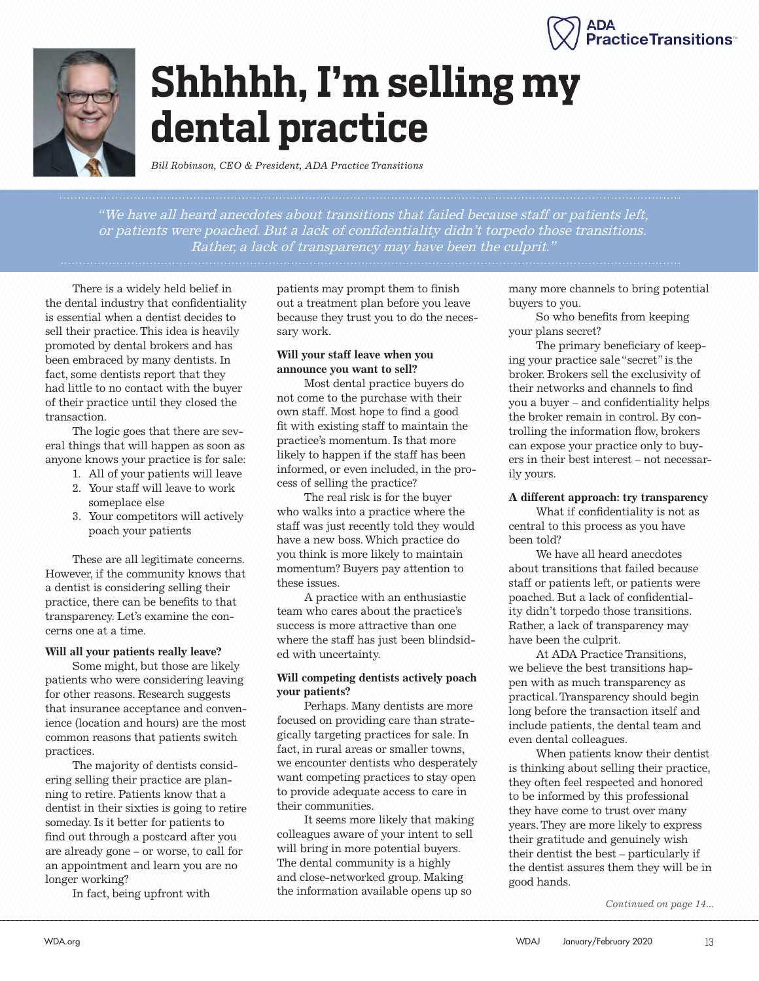



# **Shhhhh, I'm selling my dental practice**

*Bill Robinson, CEO & President, ADA Practice Transitions*

"We have all heard anecdotes about transitions that failed because staff or patients left, or patients were poached. But a lack of confidentiality didn't torpedo those transitions. Rather, a lack of transparency may have been the culprit."

There is a widely held belief in the dental industry that confidentiality is essential when a dentist decides to sell their practice. This idea is heavily promoted by dental brokers and has been embraced by many dentists. In fact, some dentists report that they had little to no contact with the buyer of their practice until they closed the transaction.

The logic goes that there are several things that will happen as soon as anyone knows your practice is for sale:

- 1. All of your patients will leave
- 2. Your staff will leave to work someplace else
- 3. Your competitors will actively poach your patients

These are all legitimate concerns. However, if the community knows that a dentist is considering selling their practice, there can be benefits to that transparency. Let's examine the concerns one at a time.

#### **Will all your patients really leave?**

Some might, but those are likely patients who were considering leaving for other reasons. Research suggests that insurance acceptance and convenience (location and hours) are the most common reasons that patients switch practices.

The majority of dentists considering selling their practice are planning to retire. Patients know that a dentist in their sixties is going to retire someday. Is it better for patients to find out through a postcard after you are already gone – or worse, to call for an appointment and learn you are no longer working?

In fact, being upfront with

patients may prompt them to finish out a treatment plan before you leave because they trust you to do the necessary work.

### **Will your staff leave when you announce you want to sell?**

Most dental practice buyers do not come to the purchase with their own staff. Most hope to find a good fit with existing staff to maintain the practice's momentum. Is that more likely to happen if the staff has been informed, or even included, in the process of selling the practice?

The real risk is for the buyer who walks into a practice where the staff was just recently told they would have a new boss. Which practice do you think is more likely to maintain momentum? Buyers pay attention to these issues.

A practice with an enthusiastic team who cares about the practice's success is more attractive than one where the staff has just been blindsided with uncertainty.

### **Will competing dentists actively poach your patients?**

Perhaps. Many dentists are more focused on providing care than strategically targeting practices for sale. In fact, in rural areas or smaller towns, we encounter dentists who desperately want competing practices to stay open to provide adequate access to care in their communities.

It seems more likely that making colleagues aware of your intent to sell will bring in more potential buyers. The dental community is a highly and close-networked group. Making the information available opens up so

many more channels to bring potential buyers to you.

So who benefits from keeping your plans secret?

The primary beneficiary of keeping your practice sale "secret" is the broker. Brokers sell the exclusivity of their networks and channels to find you a buyer – and confidentiality helps the broker remain in control. By controlling the information flow, brokers can expose your practice only to buyers in their best interest – not necessarily yours.

### **A different approach: try transparency**

What if confidentiality is not as central to this process as you have been told?

We have all heard anecdotes about transitions that failed because staff or patients left, or patients were poached. But a lack of confidentiality didn't torpedo those transitions. Rather, a lack of transparency may have been the culprit.

At ADA Practice Transitions, we believe the best transitions happen with as much transparency as practical. Transparency should begin long before the transaction itself and include patients, the dental team and even dental colleagues.

When patients know their dentist is thinking about selling their practice, they often feel respected and honored to be informed by this professional they have come to trust over many years. They are more likely to express their gratitude and genuinely wish their dentist the best – particularly if the dentist assures them they will be in good hands.

*Continued on page 14...*